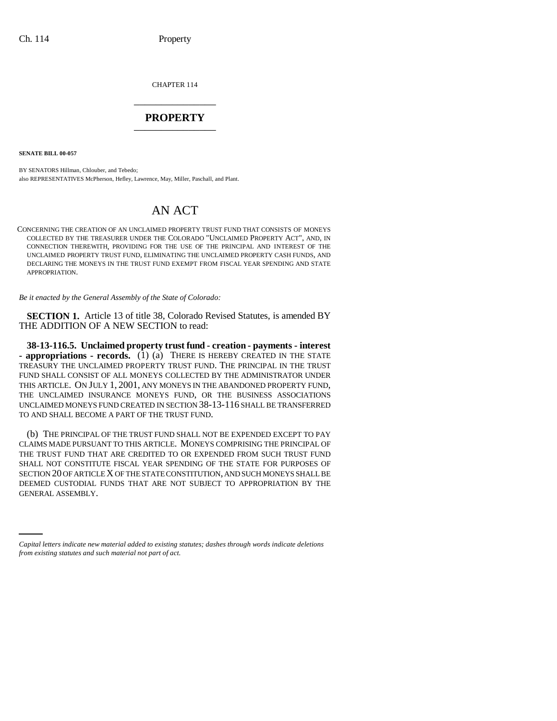CHAPTER 114 \_\_\_\_\_\_\_\_\_\_\_\_\_\_\_

## **PROPERTY** \_\_\_\_\_\_\_\_\_\_\_\_\_\_\_

**SENATE BILL 00-057** 

BY SENATORS Hillman, Chlouber, and Tebedo; also REPRESENTATIVES McPherson, Hefley, Lawrence, May, Miller, Paschall, and Plant.

# AN ACT

CONCERNING THE CREATION OF AN UNCLAIMED PROPERTY TRUST FUND THAT CONSISTS OF MONEYS COLLECTED BY THE TREASURER UNDER THE COLORADO "UNCLAIMED PROPERTY ACT", AND, IN CONNECTION THEREWITH, PROVIDING FOR THE USE OF THE PRINCIPAL AND INTEREST OF THE UNCLAIMED PROPERTY TRUST FUND, ELIMINATING THE UNCLAIMED PROPERTY CASH FUNDS, AND DECLARING THE MONEYS IN THE TRUST FUND EXEMPT FROM FISCAL YEAR SPENDING AND STATE APPROPRIATION.

*Be it enacted by the General Assembly of the State of Colorado:*

**SECTION 1.** Article 13 of title 38, Colorado Revised Statutes, is amended BY THE ADDITION OF A NEW SECTION to read:

**38-13-116.5. Unclaimed property trust fund - creation - payments - interest**  $\blacksquare$  appropriations  $\blacksquare$  records. (1) (a) THERE IS HEREBY CREATED IN THE STATE TREASURY THE UNCLAIMED PROPERTY TRUST FUND. THE PRINCIPAL IN THE TRUST FUND SHALL CONSIST OF ALL MONEYS COLLECTED BY THE ADMINISTRATOR UNDER THIS ARTICLE. ON JULY 1, 2001, ANY MONEYS IN THE ABANDONED PROPERTY FUND, THE UNCLAIMED INSURANCE MONEYS FUND, OR THE BUSINESS ASSOCIATIONS UNCLAIMED MONEYS FUND CREATED IN SECTION 38-13-116 SHALL BE TRANSFERRED TO AND SHALL BECOME A PART OF THE TRUST FUND.

DEEMED CUSTODIAL FUNDS THAT ARE NOT SUBJECT TO APPROPRIATION BY THE CENTRAL ASSEMBLY (b) THE PRINCIPAL OF THE TRUST FUND SHALL NOT BE EXPENDED EXCEPT TO PAY CLAIMS MADE PURSUANT TO THIS ARTICLE. MONEYS COMPRISING THE PRINCIPAL OF THE TRUST FUND THAT ARE CREDITED TO OR EXPENDED FROM SUCH TRUST FUND SHALL NOT CONSTITUTE FISCAL YEAR SPENDING OF THE STATE FOR PURPOSES OF SECTION 20 OF ARTICLE X OF THE STATE CONSTITUTION, AND SUCH MONEYS SHALL BE GENERAL ASSEMBLY.

*Capital letters indicate new material added to existing statutes; dashes through words indicate deletions from existing statutes and such material not part of act.*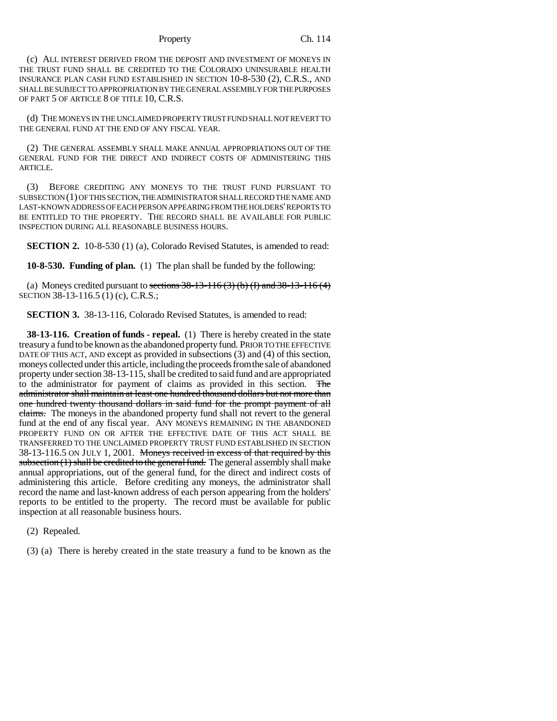#### Property Ch. 114

(c) ALL INTEREST DERIVED FROM THE DEPOSIT AND INVESTMENT OF MONEYS IN THE TRUST FUND SHALL BE CREDITED TO THE COLORADO UNINSURABLE HEALTH INSURANCE PLAN CASH FUND ESTABLISHED IN SECTION 10-8-530 (2), C.R.S., AND SHALL BE SUBJECT TO APPROPRIATION BY THE GENERAL ASSEMBLY FOR THE PURPOSES OF PART 5 OF ARTICLE 8 OF TITLE 10, C.R.S.

(d) THE MONEYS IN THE UNCLAIMED PROPERTY TRUST FUND SHALL NOT REVERT TO THE GENERAL FUND AT THE END OF ANY FISCAL YEAR.

(2) THE GENERAL ASSEMBLY SHALL MAKE ANNUAL APPROPRIATIONS OUT OF THE GENERAL FUND FOR THE DIRECT AND INDIRECT COSTS OF ADMINISTERING THIS ARTICLE.

(3) BEFORE CREDITING ANY MONEYS TO THE TRUST FUND PURSUANT TO SUBSECTION (1) OF THIS SECTION, THE ADMINISTRATOR SHALL RECORD THE NAME AND LAST-KNOWN ADDRESS OF EACH PERSON APPEARING FROM THE HOLDERS' REPORTS TO BE ENTITLED TO THE PROPERTY. THE RECORD SHALL BE AVAILABLE FOR PUBLIC INSPECTION DURING ALL REASONABLE BUSINESS HOURS.

**SECTION 2.** 10-8-530 (1) (a), Colorado Revised Statutes, is amended to read:

**10-8-530. Funding of plan.** (1) The plan shall be funded by the following:

(a) Moneys credited pursuant to sections  $38-13-116$  (3) (b) (I) and  $38-13-116$  (4) SECTION 38-13-116.5 (1) (c), C.R.S.;

**SECTION 3.** 38-13-116, Colorado Revised Statutes, is amended to read:

**38-13-116. Creation of funds - repeal.** (1) There is hereby created in the state treasury a fund to be known as the abandoned property fund. PRIOR TO THE EFFECTIVE DATE OF THIS ACT, AND except as provided in subsections (3) and (4) of this section, moneys collected under this article, including the proceeds from the sale of abandoned property under section 38-13-115, shall be credited to said fund and are appropriated to the administrator for payment of claims as provided in this section. The administrator shall maintain at least one hundred thousand dollars but not more than one hundred twenty thousand dollars in said fund for the prompt payment of all claims. The moneys in the abandoned property fund shall not revert to the general fund at the end of any fiscal year. ANY MONEYS REMAINING IN THE ABANDONED PROPERTY FUND ON OR AFTER THE EFFECTIVE DATE OF THIS ACT SHALL BE TRANSFERRED TO THE UNCLAIMED PROPERTY TRUST FUND ESTABLISHED IN SECTION 38-13-116.5 ON JULY 1, 2001. Moneys received in excess of that required by this  $subsection (1)$  shall be credited to the general fund. The general assembly shall make annual appropriations, out of the general fund, for the direct and indirect costs of administering this article. Before crediting any moneys, the administrator shall record the name and last-known address of each person appearing from the holders' reports to be entitled to the property. The record must be available for public inspection at all reasonable business hours.

(2) Repealed.

(3) (a) There is hereby created in the state treasury a fund to be known as the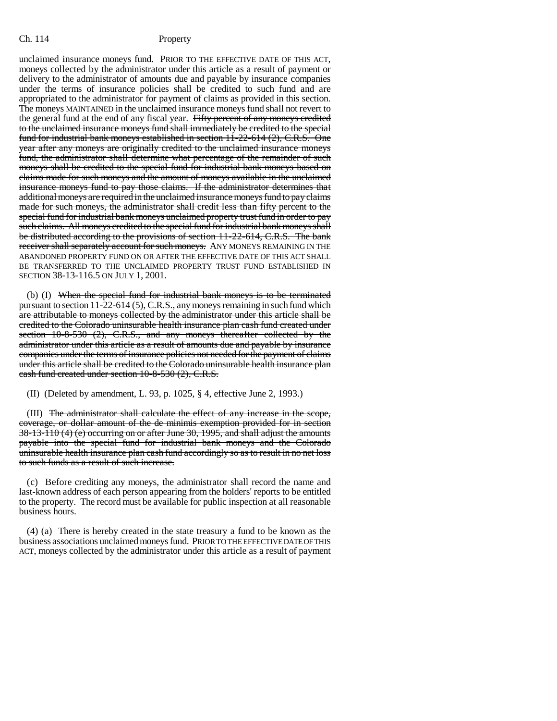unclaimed insurance moneys fund. PRIOR TO THE EFFECTIVE DATE OF THIS ACT, moneys collected by the administrator under this article as a result of payment or delivery to the administrator of amounts due and payable by insurance companies under the terms of insurance policies shall be credited to such fund and are appropriated to the administrator for payment of claims as provided in this section. The moneys MAINTAINED in the unclaimed insurance moneys fund shall not revert to the general fund at the end of any fiscal year. Fifty percent of any moneys credited to the unclaimed insurance moneys fund shall immediately be credited to the special fund for industrial bank moneys established in section 11-22-614 (2), C.R.S. One year after any moneys are originally credited to the unclaimed insurance moneys fund, the administrator shall determine what percentage of the remainder of such moneys shall be credited to the special fund for industrial bank moneys based on claims made for such moneys and the amount of moneys available in the unclaimed insurance moneys fund to pay those claims. If the administrator determines that additional moneys are required in the unclaimed insurance moneys fund to pay claims made for such moneys, the administrator shall credit less than fifty percent to the special fund for industrial bank moneys unclaimed property trust fund in order to pay such claims. All moneys credited to the special fund for industrial bank moneys shall be distributed according to the provisions of section 11-22-614, C.R.S. The bank receiver shall separately account for such moneys. ANY MONEYS REMAINING IN THE ABANDONED PROPERTY FUND ON OR AFTER THE EFFECTIVE DATE OF THIS ACT SHALL BE TRANSFERRED TO THE UNCLAIMED PROPERTY TRUST FUND ESTABLISHED IN SECTION 38-13-116.5 ON JULY 1, 2001.

(b) (I) When the special fund for industrial bank moneys is to be terminated pursuant to section 11-22-614 (5), C.R.S., any moneys remaining in such fund which are attributable to moneys collected by the administrator under this article shall be credited to the Colorado uninsurable health insurance plan cash fund created under section 10-8-530 (2), C.R.S., and any moneys thereafter collected by the administrator under this article as a result of amounts due and payable by insurance companies under the terms of insurance policies not needed for the payment of claims under this article shall be credited to the Colorado uninsurable health insurance plan cash fund created under section 10-8-530 (2), C.R.S.

(II) (Deleted by amendment, L. 93, p. 1025, § 4, effective June 2, 1993.)

(III) The administrator shall calculate the effect of any increase in the scope, coverage, or dollar amount of the de minimis exemption provided for in section 38-13-110 (4) (e) occurring on or after June 30, 1995, and shall adjust the amounts payable into the special fund for industrial bank moneys and the Colorado uninsurable health insurance plan cash fund accordingly so as to result in no net loss to such funds as a result of such increase.

(c) Before crediting any moneys, the administrator shall record the name and last-known address of each person appearing from the holders' reports to be entitled to the property. The record must be available for public inspection at all reasonable business hours.

(4) (a) There is hereby created in the state treasury a fund to be known as the business associations unclaimed moneys fund. PRIOR TO THE EFFECTIVE DATE OF THIS ACT, moneys collected by the administrator under this article as a result of payment